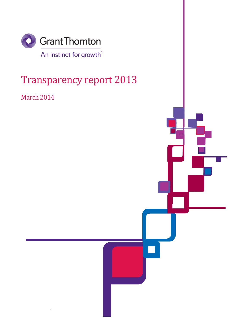

# Transparency report 2013

March 2014

`

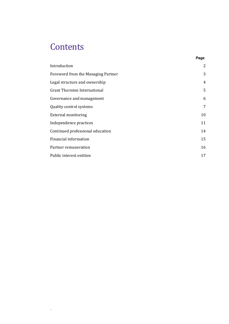## **Contents**

 $\Delta_{\rm{max}}$ 

| Introduction                        | 2  |
|-------------------------------------|----|
| Foreword from the Managing Partner  | 3  |
| Legal structure and ownership       | 4  |
| <b>Grant Thornton International</b> | 5  |
| Governance and management           | 6  |
| Quality control systems             | 7  |
| <b>External monitoring</b>          | 10 |
| Independence practices              | 11 |
| Continued professional education    | 14 |
| Financial information               | 15 |
| Partner remuneration                | 16 |
| Public interest entities            | 17 |

**Page**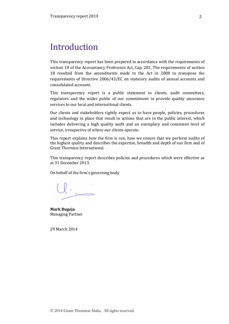### Introduction

This transparency report has been prepared in accordance with the requirements of section 18 of the Accountancy Profession Act, Cap. 281. The requirements of section 18 resulted from the amendments made to the Act in 2008 to transpose the requirements of Directive 2006/43/EC on statutory audits of annual accounts and consolidated accounts.

This transparency report is a public statement to clients, audit committees, regulators and the wider public of our commitment to provide quality assurance services to our local and international clients.

Our clients and stakeholders rightly expect us to have people, policies, procedures and technology in place that result in actions that are in the public interest, which includes delivering a high quality audit and an exemplary and consistent level of service, irrespective of where our clients operate.

This report explains how the firm is run, how we ensure that we perform audits of the highest quality and describes the expertise, breadth and depth of our firm and of Grant Thornton International.

This transparency report describes policies and procedures which were effective as at 31 December 2013.

On behalf of the firm's governing body

Mark Bugeja Managing Partner

29 March 2014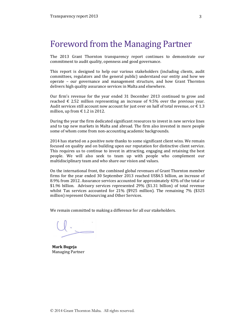### Foreword from the Managing Partner

The 2013 Grant Thornton transparency report continues to demonstrate our commitment to audit quality, openness and good governance.

This report is designed to help our various stakeholders (including clients, audit committees, regulators and the general public) understand our entity and how we operate – our governance and management structure, and how Grant Thornton delivers high quality assurance services in Malta and elsewhere.

Our firm's revenue for the year ended 31 December 2013 continued to grow and reached  $\epsilon$  2.52 million representing an increase of 9.5% over the previous year. Audit services still account now account for just over on half of total revenue, or  $\epsilon$  1.3 million, up from  $\in$  1.2 in 2012.

During the year the firm dedicated significant resources to invest in new service lines and to tap new markets in Malta and abroad. The firm also invested in more people some of whom come from non-accounting academic backgrounds.

2014 has started on a positive note thanks to some significant client wins. We remain focused on quality and on building upon our reputation for distinctive client service. This requires us to continue to invest in attracting, engaging and retaining the best people. We will also seek to team up with people who complement our multidisciplinary team and who share our vision and values.

On the international front, the combined global revenues of Grant Thornton member firms for the year ended 30 September 2013 reached US\$4.5 billion, an increase of 8.9% from 2012. Assurance services accounted for approximately 43% of the total or \$1.96 billion. Advisory services represented 29% (\$1.31 billion) of total revenue whilst Tax services accounted for 21% (\$925 million). The remaining 7% (\$325 million) represent Outsourcing and Other Services.

We remain committed to making a difference for all our stakeholders.

Mark Bugeja Managing Partner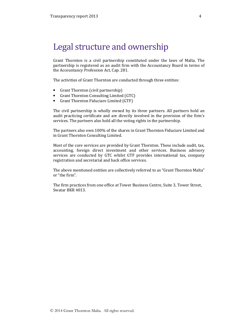### Legal structure and ownership

Grant Thornton is a civil partnership constituted under the laws of Malta. The partnership is registered as an audit firm with the Accountancy Board in terms of the Accountancy Profession Act, Cap. 281.

The activities of Grant Thornton are conducted through three entities:

- Grant Thornton (civil partnership)
- Grant Thornton Consulting Limited (GTC)
- Grant Thornton Fiduciare Limited (GTF)

The civil partnership is wholly owned by its three partners. All partners hold an audit practicing certificate and are directly involved in the provision of the firm's services. The partners also hold all the voting rights in the partnership.

The partners also own 100% of the shares in Grant Thornton Fiduciare Limited and in Grant Thornton Consulting Limited.

Most of the core services are provided by Grant Thornton. These include audit, tax, accounting, foreign direct investment and other services. Business advisory services are conducted by GTC whilst GTF provides international tax, company registration and secretarial and back office services.

The above mentioned entities are collectively referred to as "Grant Thornton Malta" or "the firm".

The firm practices from one office at Tower Business Centre, Suite 3, Tower Street, Swatar BKR 4013.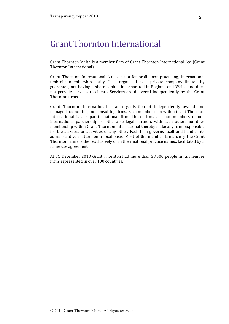### Grant Thornton International

Grant Thornton Malta is a member firm of Grant Thornton International Ltd (Grant Thornton International).

Grant Thornton International Ltd is a not-for-profit, non-practising, international umbrella membership entity. It is organised as a private company limited by guarantee, not having a share capital, incorporated in England and Wales and does not provide services to clients. Services are delivered independently by the Grant Thornton firms.

Grant Thornton International is an organisation of independently owned and managed accounting and consulting firms. Each member firm within Grant Thornton International is a separate national firm. These firms are not members of one international partnership or otherwise legal partners with each other, nor does membership within Grant Thornton International thereby make any firm responsible for the services or activities of any other. Each firm governs itself and handles its administrative matters on a local basis. Most of the member firms carry the Grant Thornton name, either exclusively or in their national practice names, facilitated by a name use agreement.

At 31 December 2013 Grant Thornton had more than 38,500 people in its member firms represented in over 100 countries.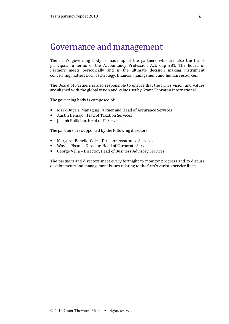### Governance and management

The firm's governing body is made up of the partners who are also the firm's principals in terms of the Accountancy Profession Act, Cap 281. The Board of Partners meets periodically and is the ultimate decision making instrument concerning matters such as strategy, financial management and human resources.

The Board of Partners is also responsible to ensure that the firm's vision and values are aligned with the global vision and values set by Grant Thornton International.

The governing body is composed of:

- Mark Bugeja, Managing Partner and Head of Assurance Services
- Austin Demajo, Head of Taxation Services
- Joseph Pullicino, Head of IT Services.

The partners are supported by the following directors:

- Margaret Bonello-Cole Director, Assurance Services
- Wayne Pisani Director, Head of Corporate Services
- George Vella Director, Head of Business Advisory Services

The partners and directors meet every fortnight to monitor progress and to discuss developments and management issues relating to the firm's various service lines.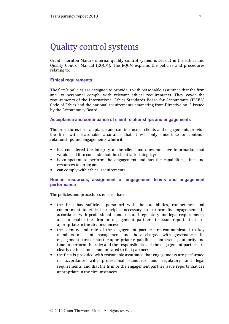### Quality control systems

Grant Thornton Malta's internal quality control system is set out in the Ethics and Quality Control Manual (EQCM). The EQCM explains the policies and procedures relating to:

#### **Ethical requirements**

The firm's policies are designed to provide it with reasonable assurance that the firm and its personnel comply with relevant ethical requirements. They cover the requirements of the International Ethics Standards Board for Accountants (IESBA) Code of Ethics and the national requirements emanating from Directive no. 2 issued by the Accountancy Board.

#### **Acceptance and continuance of client relationships and engagements**

The procedures for acceptance and continuance of clients and engagements provide the firm with reasonable assurance that it will only undertake or continue relationships and engagements where it:

- has considered the integrity of the client and does not have information that would lead it to conclude that the client lacks integrity;
- is competent to perform the engagement and has the capabilities, time and resources to do so; and
- can comply with ethical requirements.

#### **Human resources, assignment of engagement teams and engagement performance**

The policies and procedures ensure that:

- the firm has sufficient personnel with the capabilities, competence, and commitment to ethical principles necessary to perform its engagements in accordance with professional standards and regulatory and legal requirements, and to enable the firm or engagement partners to issue reports that are appropriate in the circumstances;
- the identity and role of the engagement partner are communicated to key members of client management and those charged with governance; the engagement partner has the appropriate capabilities, competence, authority and time to perform the role; and the responsibilities of the engagement partner are clearly defined and communicated to that partner;
- the firm is provided with reasonable assurance that engagements are performed in accordance with professional standards and regulatory and legal requirements, and that the firm or the engagement partner issue reports that are appropriate in the circumstances.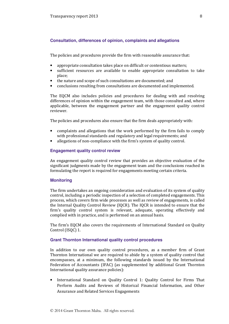#### **Consultation, differences of opinion, complaints and allegations**

The policies and procedures provide the firm with reasonable assurance that:

- appropriate consultation takes place on difficult or contentious matters;
- sufficient resources are available to enable appropriate consultation to take place;
- the nature and scope of such consultations are documented; and
- conclusions resulting from consultations are documented and implemented.

The EQCM also includes policies and procedures for dealing with and resolving differences of opinion within the engagement team, with those consulted and, where applicable, between the engagement partner and the engagement quality control reviewer.

The policies and procedures also ensure that the firm deals appropriately with:

- complaints and allegations that the work performed by the firm fails to comply with professional standards and regulatory and legal requirements; and
- allegations of non-compliance with the firm's system of quality control.

#### **Engagement quality control review**

An engagement quality control review that provides an objective evaluation of the significant judgments made by the engagement team and the conclusions reached in formulating the report is required for engagements meeting certain criteria.

#### **Monitoring**

The firm undertakes an ongoing consideration and evaluation of its system of quality control, including a periodic inspection of a selection of completed engagements. This process, which covers firm wide processes as well as review of engagements, is called the Internal Quality Control Review (IQCR). The IQCR is intended to ensure that the firm's quality control system is relevant, adequate, operating effectively and complied with in practice, and is performed on an annual basis.

The firm's EQCM also covers the requirements of International Standard on Quality Control (ISQC) 1.

#### **Grant Thornton International quality control procedures**

In addition to our own quality control procedures, as a member firm of Grant Thornton International we are required to abide by a system of quality control that encompasses, at a minimum, the following standards issued by the International Federation of Accountants (IFAC) (as supplemented by additional Grant Thornton International quality assurance policies):

• International Standard on Quality Control 1: Quality Control for Firms That Perform Audits and Reviews of Historical Financial Information, and Other Assurance and Related Services Engagements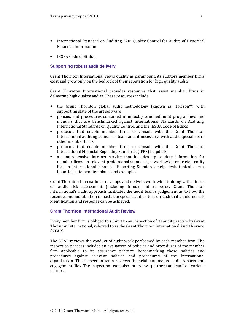- International Standard on Auditing 220: Quality Control for Audits of Historical Financial Information
- IESBA Code of Ethics.

#### **Supporting robust audit delivery**

Grant Thornton International views quality as paramount. As auditors member firms exist and grow only on the bedrock of their reputation for high quality audits.

Grant Thornton International provides resources that assist member firms in delivering high quality audits. These resources include:

- the Grant Thornton global audit methodology (known as Horizon™) with supporting state of the art software
- policies and procedures contained in industry oriented audit programmes and manuals that are benchmarked against International Standards on Auditing, International Standards on Quality Control, and the IESBA Code of Ethics
- protocols that enable member firms to consult with the Grant Thornton International auditing standards team and, if necessary, with audit specialists in other member firms
- protocols that enable member firms to consult with the Grant Thornton International Financial Reporting Standards (IFRS) helpdesk
- a comprehensive intranet service that includes up to date information for member firms on relevant professional standards, a worldwide restricted entity list, an International Financial Reporting Standards help desk, topical alerts, financial statement templates and examples.

Grant Thornton International develops and delivers worldwide training with a focus on audit risk assessment (including fraud) and response. Grant Thornton International's audit approach facilitates the audit team's judgement as to how the recent economic situation impacts the specific audit situation such that a tailored risk identification and response can be achieved.

#### **Grant Thornton International Audit Review**

Every member firm is obliged to submit to an inspection of its audit practice by Grant Thornton International, referred to as the Grant Thornton International Audit Review (GTAR).

The GTAR reviews the conduct of audit work performed by each member firm. The inspection process includes an evaluation of policies and procedures of the member firm applicable to its assurance practice, benchmarking those policies and procedures against relevant policies and procedures of the international organisation. The inspection team reviews financial statements, audit reports and engagement files. The inspection team also interviews partners and staff on various matters.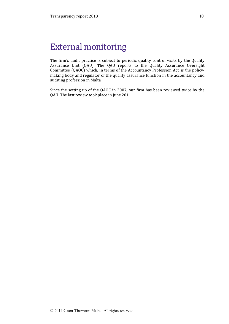## External monitoring

The firm's audit practice is subject to periodic quality control visits by the Quality Assurance Unit (QAU). The QAU reports to the Quality Assurance Oversight Committee (QAOC) which, in terms of the Accountancy Profession Act, is the policymaking body and regulator of the quality assurance function in the accountancy and auditing profession in Malta.

Since the setting up of the QAOC in 2007, our firm has been reviewed twice by the QAU. The last review took place in June 2011.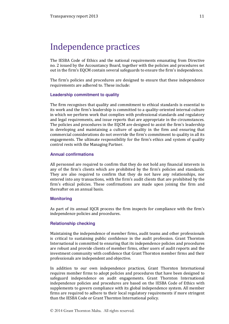## Independence practices

The IESBA Code of Ethics and the national requirements emanating from Directive no. 2 issued by the Accountancy Board, together with the policies and procedures set out in the firm's EQCM contain several safeguards to ensure the firm's independence.

The firm's policies and procedures are designed to ensure that these independence requirements are adhered to. These include:

#### **Leadership commitment to quality**

The firm recognises that quality and commitment to ethical standards is essential to its work and the firm's leadership is committed to a quality-oriented internal culture in which we perform work that complies with professional standards and regulatory and legal requirements, and issue reports that are appropriate in the circumstances. The policies and procedures in the EQCM are designed to assist the firm's leadership in developing and maintaining a culture of quality in the firm and ensuring that commercial considerations do not override the firm's commitment to quality in all its engagements. The ultimate responsibility for the firm's ethics and system of quality control rests with the Managing Partner.

#### **Annual confirmations**

All personnel are required to confirm that they do not hold any financial interests in any of the firm's clients which are prohibited by the firm's policies and standards. They are also required to confirm that they do not have any relationships, nor entered into any transactions, with the firm's audit clients that are prohibited by the firm's ethical policies. These confirmations are made upon joining the firm and thereafter on an annual basis.

#### **Monitoring**

As part of its annual IQCR process the firm inspects for compliance with the firm's independence policies and procedures.

#### **Relationship checking**

Maintaining the independence of member firms, audit teams and other professionals is critical to sustaining public confidence in the audit profession. Grant Thornton International is committed to ensuring that its independence policies and procedures are robust and provide clients of member firms, other users of audit reports and the investment community with confidence that Grant Thornton member firms and their professionals are independent and objective.

In addition to our own independence practices, Grant Thornton International requires member firms to adopt policies and procedures that have been designed to safeguard independence on audit engagements. Grant Thornton International independence policies and procedures are based on the IESBA Code of Ethics with supplements to govern compliance with its global independence system. All member firms are required to adhere to their local regulatory requirements if more stringent than the IESBA Code or Grant Thornton International policy.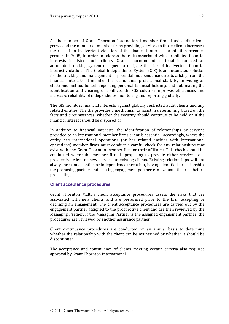As the number of Grant Thornton International member firm listed audit clients grows and the number of member firms providing services to those clients increases, the risk of an inadvertent violation of the financial interests prohibition becomes greater. In 2005, in order to address the risks associated with prohibited financial interests in listed audit clients, Grant Thornton International introduced an automated tracking system designed to mitigate the risk of inadvertent financial interest violations. The Global Independence System (GIS) is an automated solution for the tracking and management of potential independence threats arising from the financial interests of member firms and their professional staff. By providing an electronic method for self-reporting personal financial holdings and automating the identification and clearing of conflicts, the GIS solution improves efficiencies and increases reliability of independence monitoring and reporting globally.

The GIS monitors financial interests against globally restricted audit clients and any related entities. The GIS provides a mechanism to assist in determining, based on the facts and circumstances, whether the security should continue to be held or if the financial interest should be disposed of.

In addition to financial interests, the identification of relationships or services provided to an international member firms client is essential. Accordingly, where the entity has international operations (or has related entities with international operations) member firms must conduct a careful check for any relationships that exist with any Grant Thornton member firm or their affiliates. This check should be conducted where the member firm is proposing to provide either services to a prospective client or new services to existing clients. Existing relationships will not always present a conflict or independence threat but, having identified a relationship, the proposing partner and existing engagement partner can evaluate this risk before proceeding.

#### **Client acceptance procedures**

Grant Thornton Malta's client acceptance procedures assess the risks that are associated with new clients and are performed prior to the firm accepting or declining an engagement. The client acceptance procedures are carried out by the engagement partner assigned to the prospective client and are then reviewed by the Managing Partner. If the Managing Partner is the assigned engagement partner, the procedures are reviewed by another assurance partner.

Client continuance procedures are conducted on an annual basis to determine whether the relationship with the client can be maintained or whether it should be discontinued.

The acceptance and continuance of clients meeting certain criteria also requires approval by Grant Thornton International.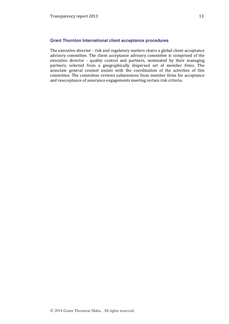#### **Grant Thornton International client acceptance procedures**

The executive director - risk and regulatory matters chairs a global client acceptance advisory committee. The client acceptance advisory committee is comprised of the executive director - quality control and partners, nominated by their managing partners, selected from a geographically dispersed set of member firms. The associate general counsel assists with the coordination of the activities of this committee. The committee reviews submissions from member firms for acceptance and reacceptance of assurance engagements meeting certain risk criteria.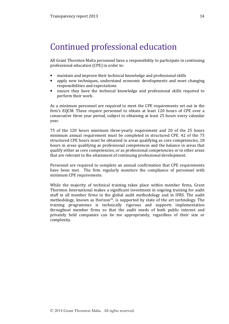## Continued professional education

All Grant Thornton Malta personnel have a responsibility to participate in continuing professional education (CPE) in order to:

- maintain and improve their technical knowledge and professional skills
- apply new techniques, understand economic developments and meet changing responsibilities and expectations
- ensure they have the technical knowledge and professional skills required to perform their work.

As a minimum personnel are required to meet the CPE requirements set out in the firm's EQCM. These require personnel to obtain at least 120 hours of CPE over a consecutive three year period, subject to obtaining at least 25 hours every calendar year.

75 of the 120 hours minimum three-yearly requirement and 20 of the 25 hours minimum annual requirement must be completed in structured CPE. 42 of the 75 structured CPE hours must be obtained in areas qualifying as core competencies, 18 hours in areas qualifying as professional competences and the balance in areas that qualify either as core competencies, or as professional competencies or in other areas that are relevant to the attainment of continuing professional development.

Personnel are required to complete an annual confirmation that CPE requirements have been met. The firm regularly monitors the compliance of personnel with minimum CPE requirements.

While the majority of technical training takes place within member firms, Grant Thornton International makes a significant investment in ongoing training for audit staff in all member firms in the global audit methodology and in IFRS. The audit methodology, known as Horizon™, is supported by state of the art technology. The training programmes is technically rigorous and supports implementation throughout member firms so that the audit needs of both public interest and privately held companies can be me appropriately, regardless of their size or complexity.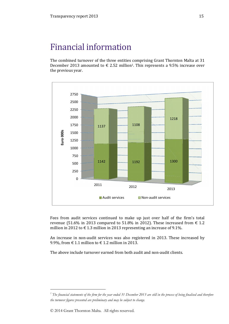## Financial information

The combined turnover of the three entities comprising Grant Thornton Malta at 31 December 2013 amounted to  $\epsilon$  2.52 million<sup>1</sup>. This represents a 9.5% increase over the previous year.



Fees from audit services continued to make up just over half of the firm's total revenue (51.6% in 2013 compared to 51.8% in 2012). These increased from  $\epsilon$  1.2 million in 2012 to  $\epsilon$  1.3 million in 2013 representing an increase of 9.1%.

An increase in non-audit services was also registered in 2013. These increased by 9.9%, from  $\in$  1.1 million to  $\in$  1.2 million in 2013.

The above include turnover earned from both audit and non-audit clients.

1

 $^{\prime}$  The financial statements of the firm for the year ended 31 December 2013 are still in the process of being finalised and therefore the turnover figures presented are preliminary and may be subject to change.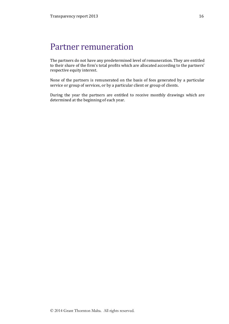## Partner remuneration

The partners do not have any predetermined level of remuneration. They are entitled to their share of the firm's total profits which are allocated according to the partners' respective equity interest.

None of the partners is remunerated on the basis of fees generated by a particular service or group of services, or by a particular client or group of clients.

During the year the partners are entitled to receive monthly drawings which are determined at the beginning of each year.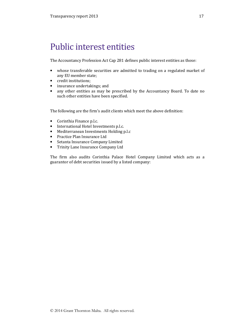## Public interest entities

The Accountancy Profession Act Cap 281 defines public interest entities as those:

- whose transferable securities are admitted to trading on a regulated market of any EU member state;
- credit institutions;
- insurance undertakings; and
- any other entities as may be prescribed by the Accountancy Board. To date no such other entities have been specified.

The following are the firm's audit clients which meet the above definition:

- Corinthia Finance p.l.c.
- International Hotel Investments p.l.c.
- Mediterranean Investments Holding p.l.c
- Practice Plan Insurance Ltd
- Setanta Insurance Company Limited
- Trinity Lane Insurance Company Ltd

The firm also audits Corinthia Palace Hotel Company Limited which acts as a guarantor of debt securities issued by a listed company: